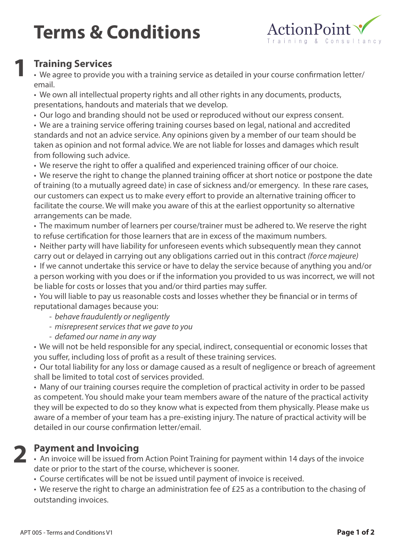## **Terms & Conditions**



### **Training Services 1**

• We agree to provide you with a training service as detailed in your course confirmation letter/ email.

• We own all intellectual property rights and all other rights in any documents, products, presentations, handouts and materials that we develop.

• Our logo and branding should not be used or reproduced without our express consent.

• We are a training service offering training courses based on legal, national and accredited standards and not an advice service. Any opinions given by a member of our team should be taken as opinion and not formal advice. We are not liable for losses and damages which result from following such advice.

• We reserve the right to offer a qualified and experienced training officer of our choice.

• We reserve the right to change the planned training officer at short notice or postpone the date of training (to a mutually agreed date) in case of sickness and/or emergency. In these rare cases, our customers can expect us to make every effort to provide an alternative training officer to facilitate the course. We will make you aware of this at the earliest opportunity so alternative arrangements can be made.

• The maximum number of learners per course/trainer must be adhered to. We reserve the right to refuse certification for those learners that are in excess of the maximum numbers.

• Neither party will have liability for unforeseen events which subsequently mean they cannot carry out or delayed in carrying out any obligations carried out in this contract *(force majeure)*

• If we cannot undertake this service or have to delay the service because of anything you and/or a person working with you does or if the information you provided to us was incorrect, we will not be liable for costs or losses that you and/or third parties may suffer.

• You will liable to pay us reasonable costs and losses whether they be financial or in terms of reputational damages because you:

- *behave fraudulently or negligently*
- *misrepresent services that we gave to you*
- *defamed our name in any way*

*•* We will not be held responsible for any special, indirect, consequential or economic losses that you suffer, including loss of profit as a result of these training services.

• Our total liability for any loss or damage caused as a result of negligence or breach of agreement shall be limited to total cost of services provided.

• Many of our training courses require the completion of practical activity in order to be passed as competent. You should make your team members aware of the nature of the practical activity they will be expected to do so they know what is expected from them physically. Please make us aware of a member of your team has a pre-existing injury. The nature of practical activity will be detailed in our course confirmation letter/email.

# **2**

#### **Payment and Invoicing**

• An invoice will be issued from Action Point Training for payment within 14 days of the invoice date or prior to the start of the course, whichever is sooner.

• Course certificates will be not be issued until payment of invoice is received.

• We reserve the right to charge an administration fee of £25 as a contribution to the chasing of outstanding invoices.